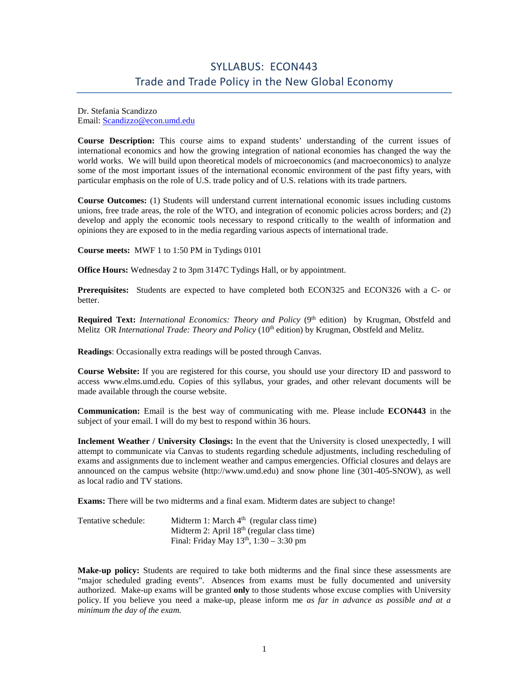## SYLLABUS: ECON443 Trade and Trade Policy in the New Global Economy

Dr. Stefania Scandizzo Email: [Scandizzo@econ.umd.edu](mailto:Scandizzo@econ.umd.edu)

**Course Description:** This course aims to expand students' understanding of the current issues of international economics and how the growing integration of national economies has changed the way the world works. We will build upon theoretical models of microeconomics (and macroeconomics) to analyze some of the most important issues of the international economic environment of the past fifty years, with particular emphasis on the role of U.S. trade policy and of U.S. relations with its trade partners.

**Course Outcomes:** (1) Students will understand current international economic issues including customs unions, free trade areas, the role of the WTO, and integration of economic policies across borders; and (2) develop and apply the economic tools necessary to respond critically to the wealth of information and opinions they are exposed to in the media regarding various aspects of international trade.

**Course meets:** MWF 1 to 1:50 PM in Tydings 0101

**Office Hours:** Wednesday 2 to 3pm 3147C Tydings Hall, or by appointment.

**Prerequisites:** Students are expected to have completed both ECON325 and ECON326 with a C- or better.

**Required Text:** *International Economics: Theory and Policy* (9<sup>th</sup> edition) by Krugman, Obstfeld and Melitz OR *International Trade: Theory and Policy* (10<sup>th</sup> edition) by Krugman, Obstfeld and Melitz.

**Readings**: Occasionally extra readings will be posted through Canvas.

**Course Website:** If you are registered for this course, you should use your directory ID and password to access www.elms.umd.edu. Copies of this syllabus, your grades, and other relevant documents will be made available through the course website.

**Communication:** Email is the best way of communicating with me. Please include **ECON443** in the subject of your email. I will do my best to respond within 36 hours.

**Inclement Weather / University Closings:** In the event that the University is closed unexpectedly, I will attempt to communicate via Canvas to students regarding schedule adjustments, including rescheduling of exams and assignments due to inclement weather and campus emergencies. Official closures and delays are announced on the campus website (http://www.umd.edu) and snow phone line (301-405-SNOW), as well as local radio and TV stations.

**Exams:** There will be two midterms and a final exam. Midterm dates are subject to change!

| Tentative schedule: | Midterm 1: March $4th$ (regular class time)    |
|---------------------|------------------------------------------------|
|                     | Midterm 2: April $18th$ (regular class time)   |
|                     | Final: Friday May $13^{th}$ , $1:30 - 3:30$ pm |

**Make-up policy:** Students are required to take both midterms and the final since these assessments are "major scheduled grading events". Absences from exams must be fully documented and university authorized. Make-up exams will be granted **only** to those students whose excuse complies with University policy. If you believe you need a make-up, please inform me *as far in advance as possible and at a minimum the day of the exam.*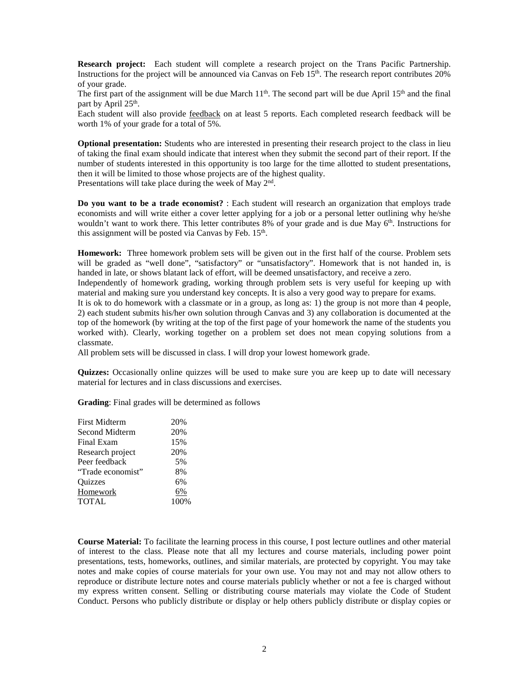**Research project:** Each student will complete a research project on the Trans Pacific Partnership. Instructions for the project will be announced via Canvas on Feb  $15<sup>th</sup>$ . The research report contributes 20% of your grade.

The first part of the assignment will be due March  $11<sup>th</sup>$ . The second part will be due April  $15<sup>th</sup>$  and the final part by April 25<sup>th</sup>.

Each student will also provide feedback on at least 5 reports. Each completed research feedback will be worth 1% of your grade for a total of 5%.

**Optional presentation:** Students who are interested in presenting their research project to the class in lieu of taking the final exam should indicate that interest when they submit the second part of their report. If the number of students interested in this opportunity is too large for the time allotted to student presentations, then it will be limited to those whose projects are of the highest quality. Presentations will take place during the week of May 2<sup>nd</sup>.

**Do you want to be a trade economist?** : Each student will research an organization that employs trade economists and will write either a cover letter applying for a job or a personal letter outlining why he/she wouldn't want to work there. This letter contributes 8% of your grade and is due May  $6<sup>th</sup>$ . Instructions for this assignment will be posted via Canvas by Feb.  $15<sup>th</sup>$ .

**Homework:** Three homework problem sets will be given out in the first half of the course. Problem sets will be graded as "well done", "satisfactory" or "unsatisfactory". Homework that is not handed in, is handed in late, or shows blatant lack of effort, will be deemed unsatisfactory, and receive a zero.

Independently of homework grading, working through problem sets is very useful for keeping up with material and making sure you understand key concepts. It is also a very good way to prepare for exams.

It is ok to do homework with a classmate or in a group, as long as: 1) the group is not more than 4 people, 2) each student submits his/her own solution through Canvas and 3) any collaboration is documented at the top of the homework (by writing at the top of the first page of your homework the name of the students you worked with). Clearly, working together on a problem set does not mean copying solutions from a classmate.

All problem sets will be discussed in class. I will drop your lowest homework grade.

**Quizzes:** Occasionally online quizzes will be used to make sure you are keep up to date will necessary material for lectures and in class discussions and exercises.

**Grading**: Final grades will be determined as follows

| First Midterm         | 20%  |
|-----------------------|------|
| <b>Second Midterm</b> | 20%  |
| Final Exam            | 15%  |
| Research project      | 20%  |
| Peer feedback         | 5%   |
| "Trade economist"     | 8%   |
| Quizzes               | 6%   |
| Homework              | 6%   |
| <b>TOTAL</b>          | 100% |
|                       |      |

**Course Material:** To facilitate the learning process in this course, I post lecture outlines and other material of interest to the class. Please note that all my lectures and course materials, including power point presentations, tests, homeworks, outlines, and similar materials, are protected by copyright. You may take notes and make copies of course materials for your own use. You may not and may not allow others to reproduce or distribute lecture notes and course materials publicly whether or not a fee is charged without my express written consent. Selling or distributing course materials may violate the Code of Student Conduct. Persons who publicly distribute or display or help others publicly distribute or display copies or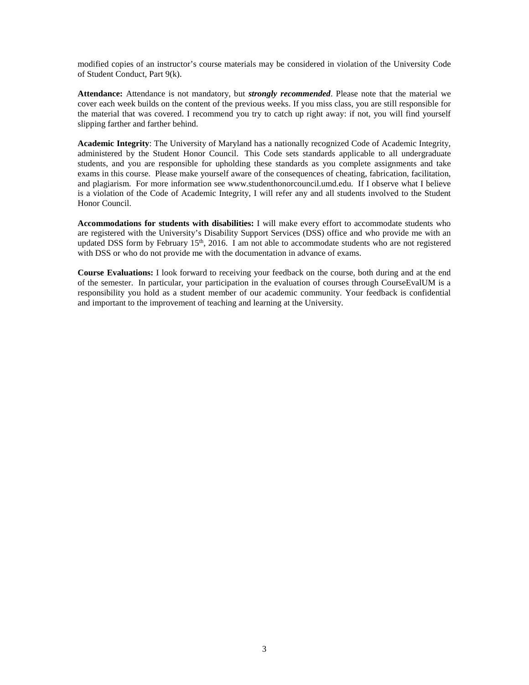modified copies of an instructor's course materials may be considered in violation of the University Code of Student Conduct, Part 9(k).

**Attendance:** Attendance is not mandatory, but *strongly recommended*. Please note that the material we cover each week builds on the content of the previous weeks. If you miss class, you are still responsible for the material that was covered. I recommend you try to catch up right away: if not, you will find yourself slipping farther and farther behind.

**Academic Integrity**: The University of Maryland has a nationally recognized Code of Academic Integrity, administered by the Student Honor Council. This Code sets standards applicable to all undergraduate students, and you are responsible for upholding these standards as you complete assignments and take exams in this course. Please make yourself aware of the consequences of cheating, fabrication, facilitation, and plagiarism. For more information see [www.studenthonorcouncil.umd.edu.](http://www.studenthonorcouncil.umd.edu/) If I observe what I believe is a violation of the Code of Academic Integrity, I will refer any and all students involved to the Student Honor Council.

**Accommodations for students with disabilities:** I will make every effort to accommodate students who are registered with the University's Disability Support Services (DSS) office and who provide me with an updated DSS form by February 15<sup>th</sup>, 2016. I am not able to accommodate students who are not registered with DSS or who do not provide me with the documentation in advance of exams.

**Course Evaluations:** I look forward to receiving your feedback on the course, both during and at the end of the semester. In particular, your participation in the evaluation of courses through CourseEvalUM is a responsibility you hold as a student member of our academic community. Your feedback is confidential and important to the improvement of teaching and learning at the University.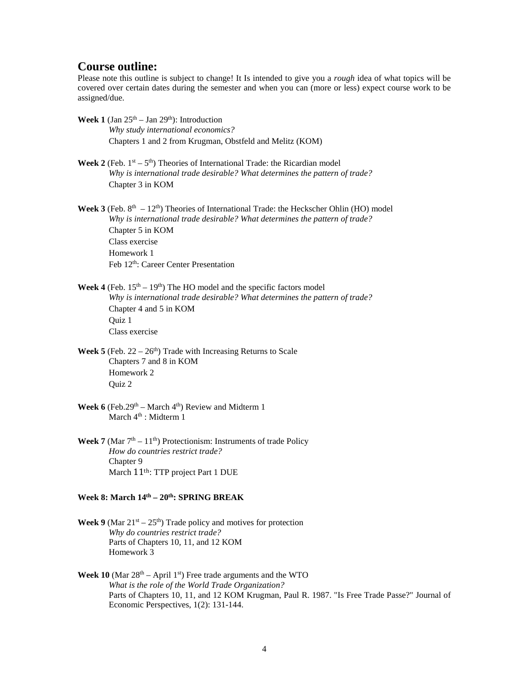## **Course outline:**

Please note this outline is subject to change! It Is intended to give you a *rough* idea of what topics will be covered over certain dates during the semester and when you can (more or less) expect course work to be assigned/due.

- **Week 1** (Jan  $25<sup>th</sup> Jan 29<sup>th</sup>$ ): Introduction *Why study international economics?*  Chapters 1 and 2 from Krugman, Obstfeld and Melitz (KOM)
- **Week 2** (Feb.  $1^{st} 5^{th}$ ) Theories of International Trade: the Ricardian model *Why is international trade desirable? What determines the pattern of trade?* Chapter 3 in KOM

**Week 3** (Feb.  $8<sup>th</sup> - 12<sup>th</sup>$ ) Theories of International Trade: the Heckscher Ohlin (HO) model *Why is international trade desirable? What determines the pattern of trade?* Chapter 5 in KOM Class exercise Homework 1 Feb 12<sup>th</sup>: Career Center Presentation

- **Week 4** (Feb.  $15<sup>th</sup> 19<sup>th</sup>$ ) The HO model and the specific factors model *Why is international trade desirable? What determines the pattern of trade?* Chapter 4 and 5 in KOM Quiz 1 Class exercise
- **Week 5** (Feb.  $22 26$ <sup>th</sup>) Trade with Increasing Returns to Scale Chapters 7 and 8 in KOM Homework 2 Quiz 2
- **Week 6** (Feb.29<sup>th</sup> March  $4<sup>th</sup>$ ) Review and Midterm 1 March 4<sup>th</sup> : Midterm 1
- **Week 7** (Mar  $7<sup>th</sup> 11<sup>th</sup>$ ) Protectionism: Instruments of trade Policy *How do countries restrict trade?* Chapter 9 March 11<sup>th</sup>: TTP project Part 1 DUE

## **Week 8: March 14th – 20th: SPRING BREAK**

- **Week 9** (Mar  $21^{st} 25^{th}$ ) Trade policy and motives for protection *Why do countries restrict trade?* Parts of Chapters 10, 11, and 12 KOM Homework 3
- **Week 10** (Mar  $28<sup>th</sup> April 1<sup>st</sup>$ ) Free trade arguments and the WTO *What is the role of the World Trade Organization?* Parts of Chapters 10, 11, and 12 KOM Krugman, Paul R. 1987. "Is Free Trade Passe?" Journal of Economic Perspectives, 1(2): 131-144.